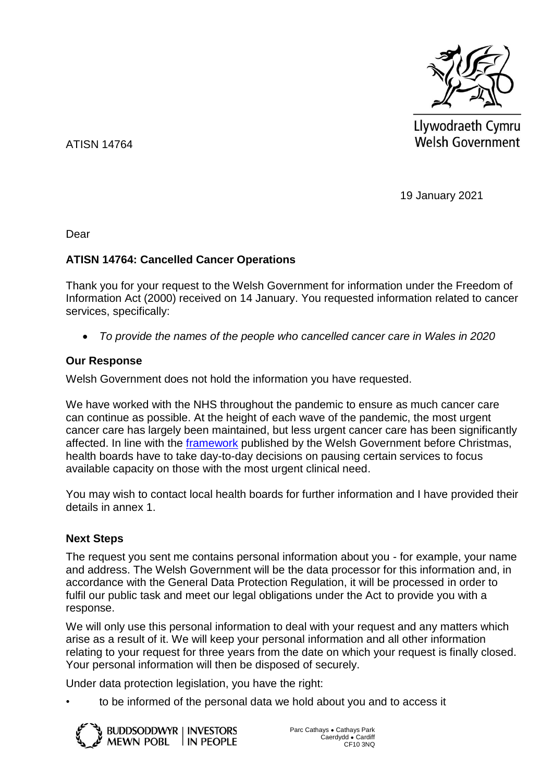

Llywodraeth Cymru **Welsh Government** 

ATISN 14764

19 January 2021

Dear

# **ATISN 14764: Cancelled Cancer Operations**

Thank you for your request to the Welsh Government for information under the Freedom of Information Act (2000) received on 14 January. You requested information related to cancer services, specifically:

*To provide the names of the people who cancelled cancer care in Wales in 2020*

# **Our Response**

Welsh Government does not hold the information you have requested.

We have worked with the NHS throughout the pandemic to ensure as much cancer care can continue as possible. At the height of each wave of the pandemic, the most urgent cancer care has largely been maintained, but less urgent cancer care has been significantly affected. In line with the [framework](https://gov.wales/nhs-wales-annual-planning-framework-2021-2022) published by the Welsh Government before Christmas, health boards have to take day-to-day decisions on pausing certain services to focus available capacity on those with the most urgent clinical need.

You may wish to contact local health boards for further information and I have provided their details in annex 1.

# **Next Steps**

The request you sent me contains personal information about you - for example, your name and address. The Welsh Government will be the data processor for this information and, in accordance with the General Data Protection Regulation, it will be processed in order to fulfil our public task and meet our legal obligations under the Act to provide you with a response.

We will only use this personal information to deal with your request and any matters which arise as a result of it. We will keep your personal information and all other information relating to your request for three years from the date on which your request is finally closed. Your personal information will then be disposed of securely.

Under data protection legislation, you have the right:

• to be informed of the personal data we hold about you and to access it

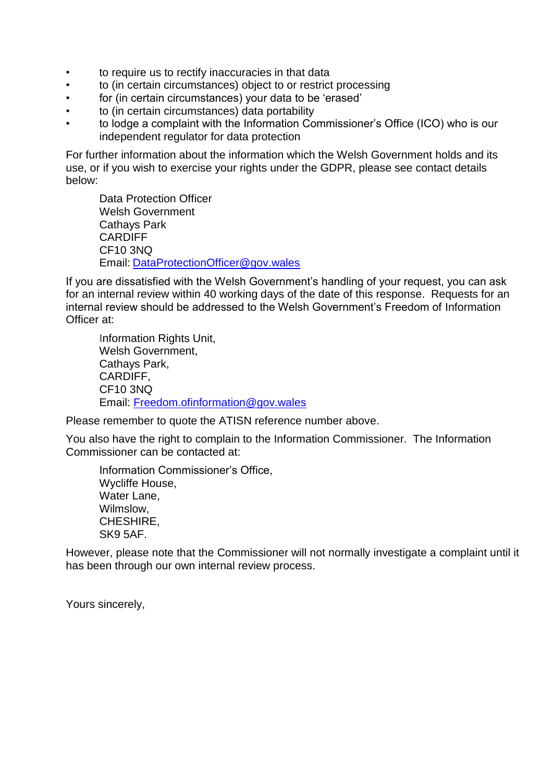- to require us to rectify inaccuracies in that data
- to (in certain circumstances) object to or restrict processing
- for (in certain circumstances) your data to be 'erased'
- to (in certain circumstances) data portability
- to lodge a complaint with the Information Commissioner's Office (ICO) who is our independent regulator for data protection

For further information about the information which the Welsh Government holds and its use, or if you wish to exercise your rights under the GDPR, please see contact details below:

Data Protection Officer Welsh Government Cathays Park CARDIFF CF10 3NQ Email: [DataProtectionOfficer@gov.wales](mailto:DataProtectionOfficer@gov.wales)

If you are dissatisfied with the Welsh Government's handling of your request, you can ask for an internal review within 40 working days of the date of this response. Requests for an internal review should be addressed to the Welsh Government's Freedom of Information Officer at:

Information Rights Unit, Welsh Government, Cathays Park, CARDIFF, CF10 3NQ Email: [Freedom.ofinformation@gov.wales](mailto:Freedom.ofinformation@gov.wales)

Please remember to quote the ATISN reference number above.

You also have the right to complain to the Information Commissioner. The Information Commissioner can be contacted at:

Information Commissioner's Office, Wycliffe House, Water Lane, Wilmslow, CHESHIRE, SK9 5AF.

However, please note that the Commissioner will not normally investigate a complaint until it has been through our own internal review process.

Yours sincerely,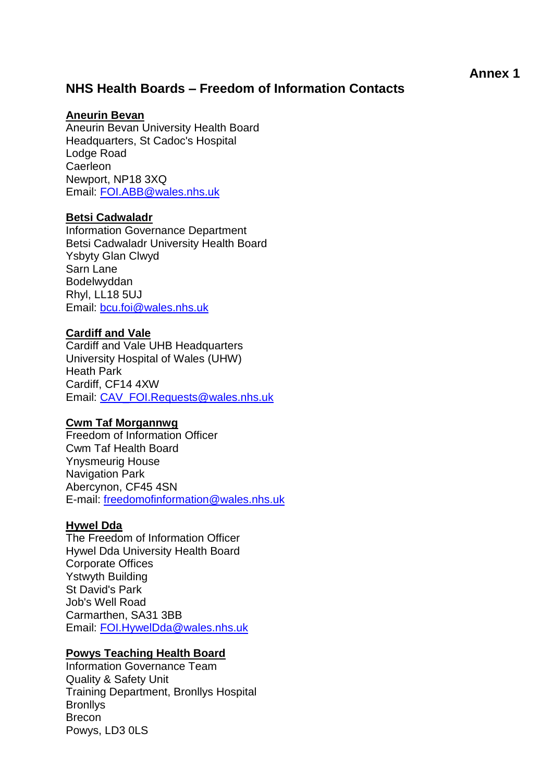# **NHS Health Boards – Freedom of Information Contacts**

## **Aneurin Bevan**

Aneurin Bevan University Health Board Headquarters, St Cadoc's Hospital Lodge Road Caerleon Newport, NP18 3XQ Email: [FOI.ABB@wales.nhs.uk](mailto:FOI.ABB@wales.nhs.uk?subject=Freedom%20of%20Information%20Request)

## **Betsi Cadwaladr**

Information Governance Department Betsi Cadwaladr University Health Board Ysbyty Glan Clwyd Sarn Lane Bodelwyddan Rhyl, LL18 5UJ Email: [bcu.foi@wales.nhs.uk](mailto:bcu.foi@wales.nhs.uk)

## **Cardiff and Vale**

Cardiff and Vale UHB Headquarters University Hospital of Wales (UHW) Heath Park Cardiff, CF14 4XW Email: CAV\_FOI.Requests@wales.nhs.uk

#### **Cwm Taf Morgannwg**

Freedom of Information Officer Cwm Taf Health Board Ynysmeurig House Navigation Park Abercynon, CF45 4SN E-mail: [freedomofinformation@wales.nhs.uk](mailto:freedomofinformation@wales.nhs.uk)

## **Hywel Dda**

The Freedom of Information Officer Hywel Dda University Health Board Corporate Offices Ystwyth Building St David's Park Job's Well Road Carmarthen, SA31 3BB Email: [FOI.HywelDda@wales.nhs.uk](mailto:FOI.HywelDda@wales.nhs.uk)

#### **Powys Teaching Health Board**

Information Governance Team Quality & Safety Unit Training Department, Bronllys Hospital **Bronllys** Brecon Powys, LD3 0LS